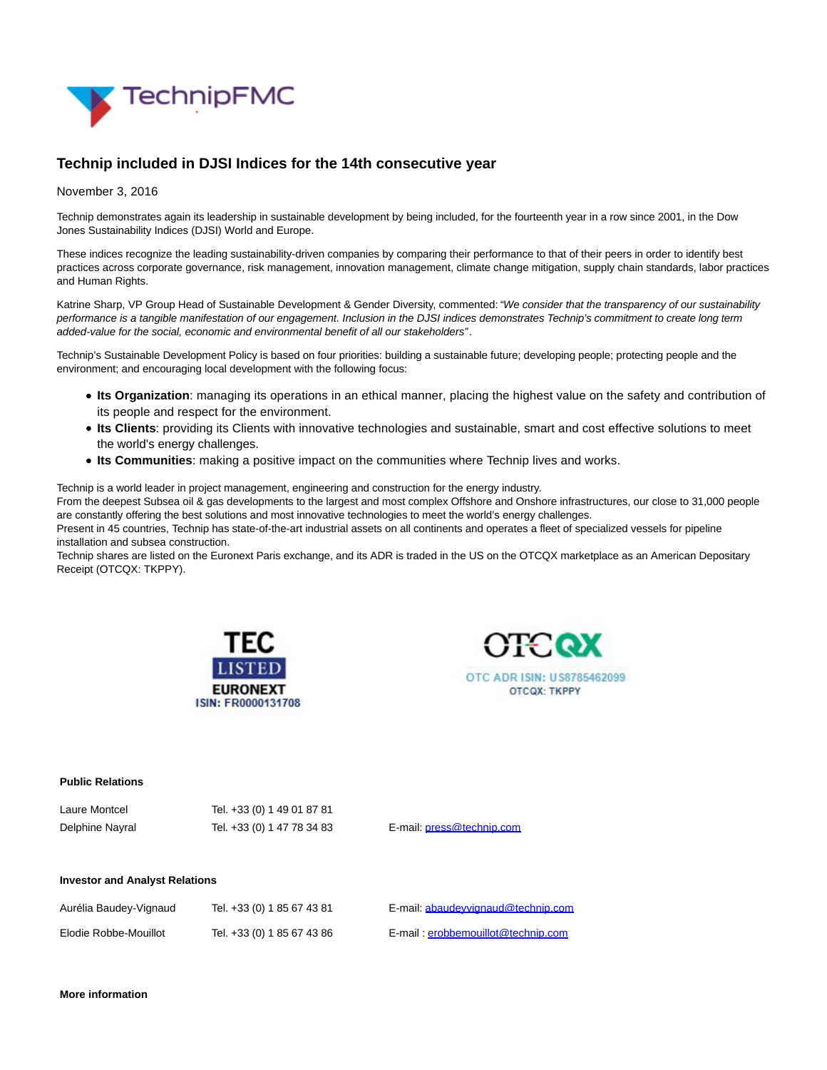

## **Technip included in DJSI Indices for the 14th consecutive year**

November 3, 2016

Technip demonstrates again its leadership in sustainable development by being included, for the fourteenth year in a row since 2001, in the Dow Jones Sustainability Indices (DJSI) World and Europe.

These indices recognize the leading sustainability-driven companies by comparing their performance to that of their peers in order to identify best practices across corporate governance, risk management, innovation management, climate change mitigation, supply chain standards, labor practices and Human Rights.

Katrine Sharp, VP Group Head of Sustainable Development & Gender Diversity, commented: "We consider that the transparency of our sustainability performance is a tangible manifestation of our engagement. Inclusion in the DJSI indices demonstrates Technip's commitment to create long term added-value for the social, economic and environmental benefit of all our stakeholders".

Technip's Sustainable Development Policy is based on four priorities: building a sustainable future; developing people; protecting people and the environment; and encouraging local development with the following focus:

- **Its Organization**: managing its operations in an ethical manner, placing the highest value on the safety and contribution of its people and respect for the environment.
- **Its Clients**: providing its Clients with innovative technologies and sustainable, smart and cost effective solutions to meet the world's energy challenges.
- **Its Communities**: making a positive impact on the communities where Technip lives and works.

Technip is a world leader in project management, engineering and construction for the energy industry.

From the deepest Subsea oil & gas developments to the largest and most complex Offshore and Onshore infrastructures, our close to 31,000 people are constantly offering the best solutions and most innovative technologies to meet the world's energy challenges.

Present in 45 countries, Technip has state-of-the-art industrial assets on all continents and operates a fleet of specialized vessels for pipeline installation and subsea construction.

Technip shares are listed on the Euronext Paris exchange, and its ADR is traded in the US on the OTCQX marketplace as an American Depositary Receipt (OTCQX: TKPPY).



 $L_{\text{aira}}$  Montcel Tel. +33 (0) 1.49 01 87 81



**Public Relations**

| --------------<br>Delphine Nayral     | 101.100101110010101<br>Tel. +33 (0) 1 47 78 34 83 | E-mail: press@technip.com          |
|---------------------------------------|---------------------------------------------------|------------------------------------|
| <b>Investor and Analyst Relations</b> |                                                   |                                    |
| Aurélia Baudey-Vignaud                | Tel. +33 (0) 1 85 67 43 81                        | E-mail: abaudevvignaud@technip.com |

Elodie Robbe-Mouillot Tel. +33 (0) 1 85 67 43 86 E-mail : [erobbemouillot@technip.com](mailto:erobbemouillot@technip.com)

**More information**